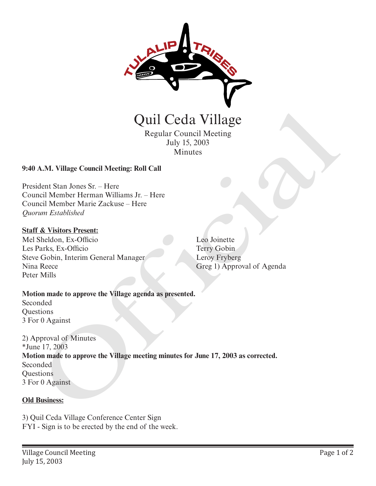

Quil Ceda Village

Regular Council Meeting July 15, 2003 Minutes

## **9:40 A.M. Village Council Meeting: Roll Call**

President Stan Jones Sr. – Here Council Member Herman Williams Jr. – Here Council Member Marie Zackuse – Here *Quorum Established*

#### **Staff & Visitors Present:**

Mel Sheldon, Ex-Officio Les Parks, Ex-Officio Steve Gobin, Interim General Manager Nina Reece Peter Mills

Leo Joinette Terry Gobin Leroy Fryberg Greg 1) Approval of Agenda

# **Motion made to approve the Village agenda as presented.**

Seconded **Ouestions** 3 For 0 Against

2) Approval of Minutes \*June 17, 2003 **Motion made to approve the Village meeting minutes for June 17, 2003 as corrected.** Seconded **Questions** 3 For 0 Against Quil Ceda Village<br>
Regular Council Meeting<br>
Iuly 15, 2003<br>
Minutes<br>
July 15, 2003<br>
Minutes<br>
A.M. Village Council Meeting: Roll Call<br>
dent Stan Jones Sr. – Here<br>
Inter Marie Zackuse – Here<br>
Ium Extablished<br>
Shelton, Interio

#### **Old Business:**

3) Quil Ceda Village Conference Center Sign FYI - Sign is to be erected by the end of the week.